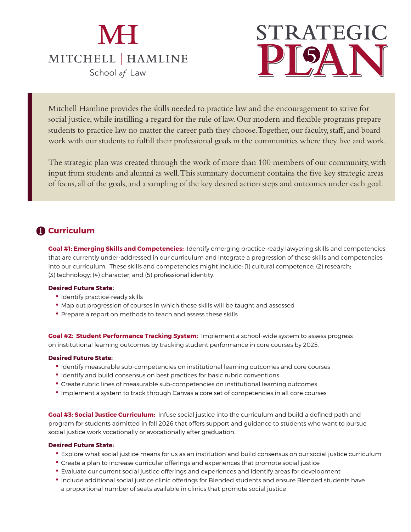# **MH** MITCHELL | HAMLINE School of Law

# **PLAN PLAN**

Mitchell Hamline provides the skills needed to practice law and the encouragement to strive for social justice, while instilling a regard for the rule of law. Our modern and flexible programs prepare students to practice law no matter the career path they choose. Together, our faculty, staff, and board work with our students to fulfill their professional goals in the communities where they live and work.

The strategic plan was created through the work of more than 100 members of our community, with input from students and alumni as well. This summary document contains the five key strategic areas of focus, all of the goals, and a sampling of the key desired action steps and outcomes under each goal.

# **Curriculum 1**

**Goal #1: Emerging Skills and Competencies:** Identify emerging practice-ready lawyering skills and competencies that are currently under-addressed in our curriculum and integrate a progression of these skills and competencies into our curriculum. These skills and competencies might include: (1) cultural competence; (2) research; (3) technology; (4) character; and (5) professional identity.

#### **Desired Future State:**

- Identify practice-ready skills
- Map out progression of courses in which these skills will be taught and assessed
- Prepare a report on methods to teach and assess these skills

**Goal #2: Student Performance Tracking System:** Implement a school-wide system to assess progress on institutional learning outcomes by tracking student performance in core courses by 2025.

#### **Desired Future State:**

- Identify measurable sub-competencies on institutional learning outcomes and core courses
- Identify and build consensus on best practices for basic rubric conventions
- Create rubric lines of measurable sub-competencies on institutional learning outcomes
- Implement a system to track through Canvas a core set of competencies in all core courses

**Goal #3: Social Justice Curriculum:** Infuse social justice into the curriculum and build a defined path and program for students admitted in fall 2026 that offers support and guidance to students who want to pursue social justice work vocationally or avocationally after graduation.

- Explore what social justice means for us as an institution and build consensus on our social justice curriculum
- Create a plan to increase curricular offerings and experiences that promote social justice
- Evaluate our current social justice offerings and experiences and identify areas for development
- Include additional social justice clinic offerings for Blended students and ensure Blended students have a proportional number of seats available in clinics that promote social justice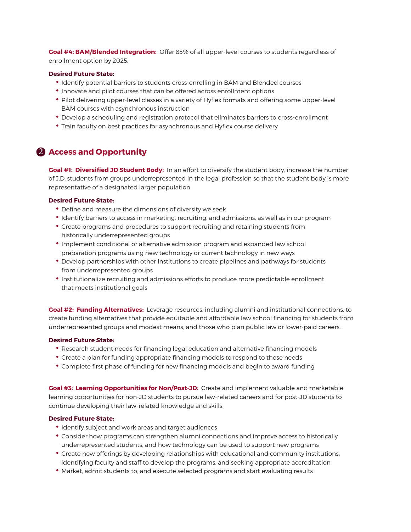**Goal #4: BAM/Blended Integration:** Offer 85% of all upper-level courses to students regardless of enrollment option by 2025.

#### **Desired Future State:**

- Identify potential barriers to students cross-enrolling in BAM and Blended courses
- Innovate and pilot courses that can be offered across enrollment options
- Pilot delivering upper-level classes in a variety of Hyflex formats and offering some upper-level BAM courses with asynchronous instruction
- Develop a scheduling and registration protocol that eliminates barriers to cross-enrollment
- Train faculty on best practices for asynchronous and Hyflex course delivery

### **Access and Opportunity**

**Goal #1: Diversified JD Student Body:** In an effort to diversify the student body, increase the number of J.D. students from groups underrepresented in the legal profession so that the student body is more representative of a designated larger population.

#### **Desired Future State:**

- Define and measure the dimensions of diversity we seek
- Identify barriers to access in marketing, recruiting, and admissions, as well as in our program
- Create programs and procedures to support recruiting and retaining students from historically underrepresented groups
- Implement conditional or alternative admission program and expanded law school preparation programs using new technology or current technology in new ways
- Develop partnerships with other institutions to create pipelines and pathways for students from underrepresented groups
- Institutionalize recruiting and admissions efforts to produce more predictable enrollment that meets institutional goals

**Goal #2: Funding Alternatives:** Leverage resources, including alumni and institutional connections, to create funding alternatives that provide equitable and affordable law school financing for students from underrepresented groups and modest means, and those who plan public law or lower-paid careers.

#### **Desired Future State:**

- Research student needs for financing legal education and alternative financing models
- Create a plan for funding appropriate financing models to respond to those needs
- Complete first phase of funding for new financing models and begin to award funding

**Goal #3: Learning Opportunities for Non/Post-JD:** Create and implement valuable and marketable learning opportunities for non-JD students to pursue law-related careers and for post-JD students to continue developing their law-related knowledge and skills.

- Identify subject and work areas and target audiences
- Consider how programs can strengthen alumni connections and improve access to historically underrepresented students, and how technology can be used to support new programs
- Create new offerings by developing relationships with educational and community institutions, identifying faculty and staff to develop the programs, and seeking appropriate accreditation
- Market, admit students to, and execute selected programs and start evaluating results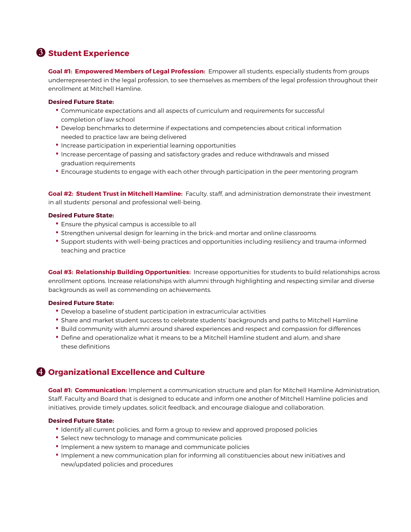# **Student Experience 3**

**Goal #1: Empowered Members of Legal Profession:** Empower all students, especially students from groups underrepresented in the legal profession, to see themselves as members of the legal profession throughout their enrollment at Mitchell Hamline.

#### **Desired Future State:**

- Communicate expectations and all aspects of curriculum and requirements for successful completion of law school
- Develop benchmarks to determine if expectations and competencies about critical information needed to practice law are being delivered
- Increase participation in experiential learning opportunities
- Increase percentage of passing and satisfactory grades and reduce withdrawals and missed graduation requirements
- Encourage students to engage with each other through participation in the peer mentoring program

**Goal #2: Student Trust in Mitchell Hamline:** Faculty, staff, and administration demonstrate their investment in all students' personal and professional well-being.

#### **Desired Future State:**

- Ensure the physical campus is accessible to all
- Strengthen universal design for learning in the brick-and mortar and online classrooms
- Support students with well-being practices and opportunities including resiliency and trauma-informed teaching and practice

**Goal #3: Relationship Building Opportunities:** Increase opportunities for students to build relationships across enrollment options. Increase relationships with alumni through highlighting and respecting similar and diverse backgrounds as well as commending on achievements.

#### **Desired Future State:**

- Develop a baseline of student participation in extracurricular activities
- Share and market student success to celebrate students' backgrounds and paths to Mitchell Hamline
- Build community with alumni around shared experiences and respect and compassion for differences
- Define and operationalize what it means to be a Mitchell Hamline student and alum, and share these definitions

## **Organizational Excellence and Culture 4**

**Goal #1: Communication:** Implement a communication structure and plan for Mitchell Hamline Administration, Staff, Faculty and Board that is designed to educate and inform one another of Mitchell Hamline policies and initiatives, provide timely updates, solicit feedback, and encourage dialogue and collaboration.

- Identify all current policies, and form a group to review and approved proposed policies
- Select new technology to manage and communicate policies
- Implement a new system to manage and communicate policies
- Implement a new communication plan for informing all constituencies about new initiatives and new/updated policies and procedures